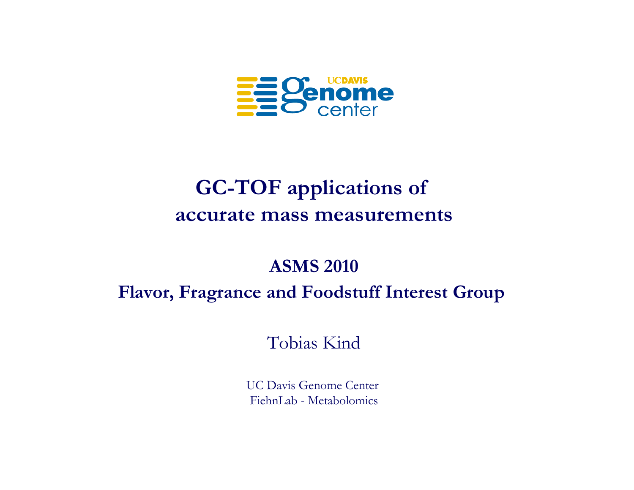

## **GC-TOF applications of accurate mass measurements**

### **ASMS 2010**

#### **Flavor, Fragrance and Foodstuff Interest Group**

Tobias Kind

UC Davis Genome Center FiehnLab - Metabolomics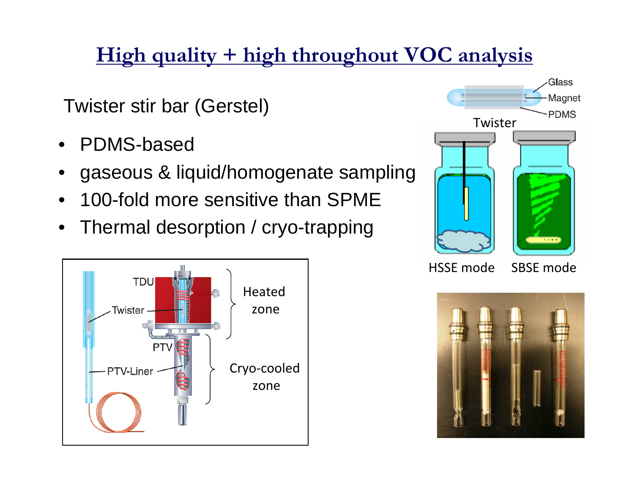# **High quality + high throughout VOC analysis**

Twister stir bar (Gerstel)

- •PDMS-based
- •gaseous & liquid/homogenate sampling
- •100-fold more sensitive than SPME
- •Thermal desorption / cryo-trapping





**HSSE** mode

SBSE mode

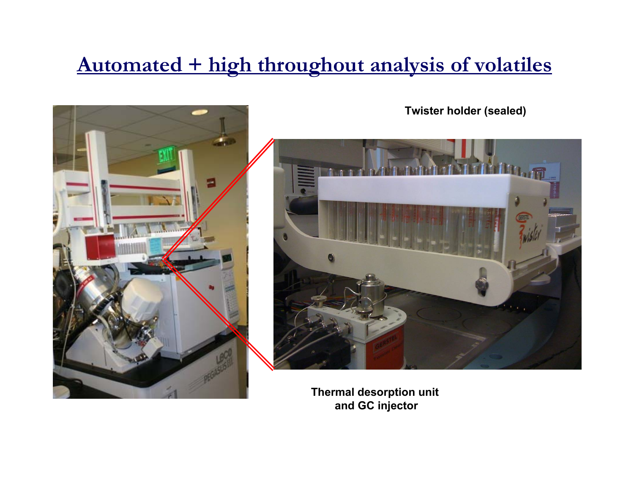# **Automated + high throughout analysis of volatiles**



**Thermal desorption unit and GC injector**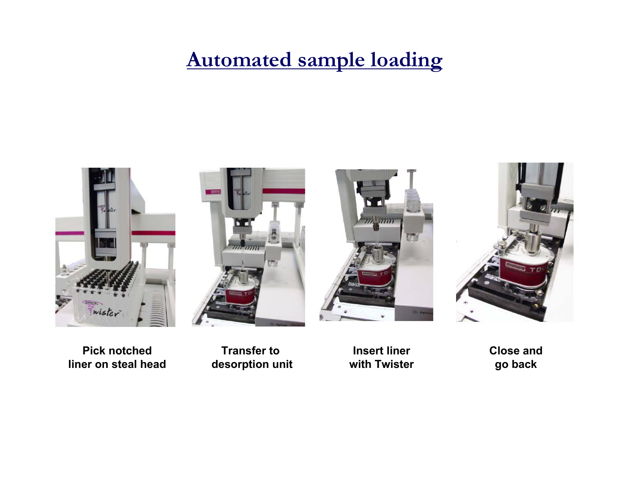## **Automated sample loading**



**Pick notchedliner on steal head**



**Transfer to desorption unit**

**Insert linerwith Twister** **Close and go back**

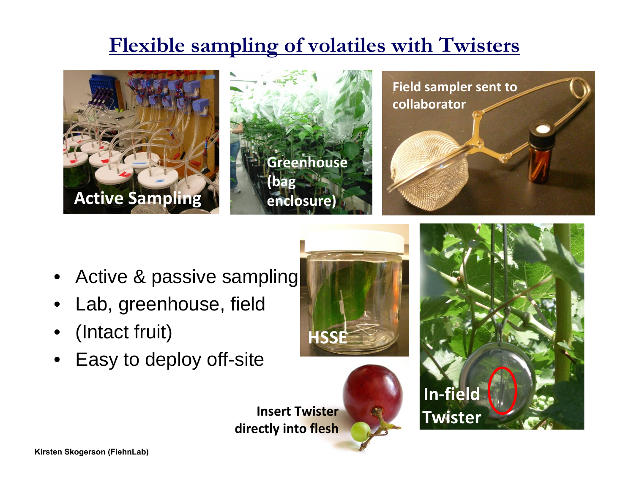# **Flexible sampling of volatiles with Twisters**



- •Active & passive sampling
- •Lab, greenhouse, field
- •(Intact fruit)
- •Easy to deploy off-site





**Insert Twisterdirectly into flesh**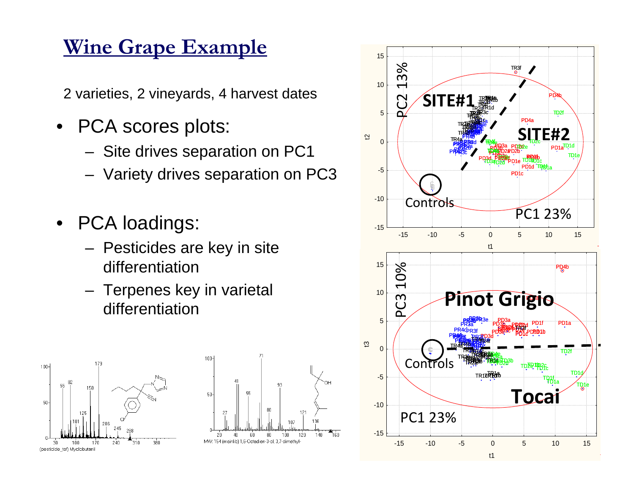# **Wine Grape Example**

2 varieties, 2 vineyards, 4 harvest dates

- • PCA scores plots:
	- Site drives separation on PC1
	- Variety drives separation on PC3
- • PCA loadings:
	- Pesticides are key in site differentiation
	- Terpenes key in varietal differentiation





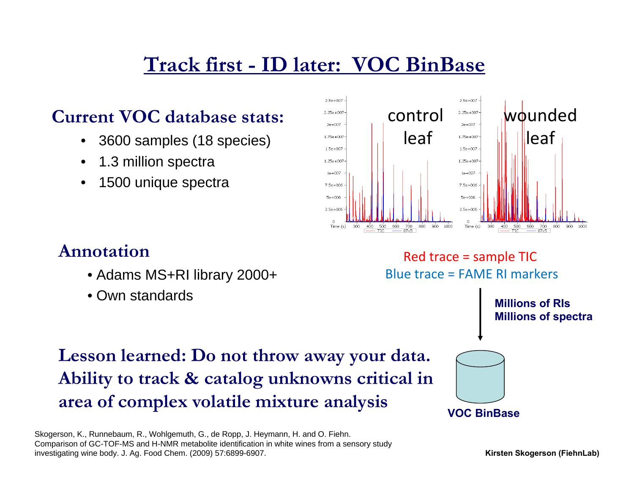# **Track first - ID later: VOC BinBase**

### **Current VOC database stats:**

- •3600 samples (18 species)
- •1.3 million spectra
- •1500 unique spectra



### **Annotation**

- Adams MS+RI library 2000+
- Own standards

#### Red trace = sample TIC Blue trace = FAME RI markers

**Millions of RIsMillions of spectra**

### **Lesson learned: Do not throw away your data. Ability to track & catalog unknowns critical in area of complex volatile mixture analysis**

Skogerson, K., Runnebaum, R., Wohlgemuth, G., de Ropp, J. Heymann, H. and O. Fiehn. Comparison of GC-TOF-MS and H-NMR metabolite identification in white wines from a sensory study investigating wine body. J. Ag. Food Chem. (2009) 57:6899-6907.

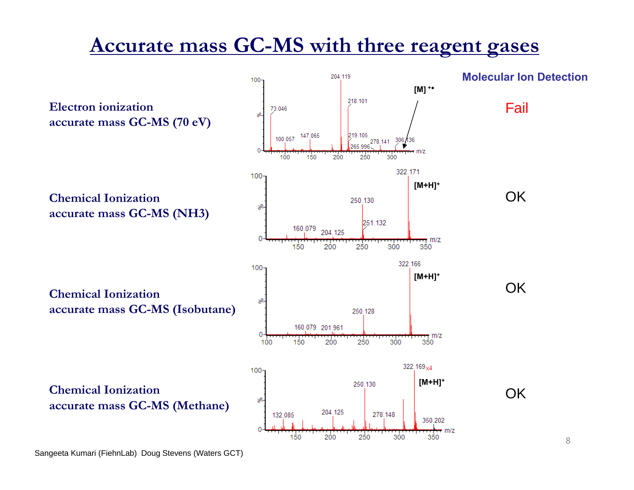## **Accurate mass GC-MS with three reagent gases**

**Molecular Ion Detection**204 119  $100 -$ **[M] <sup>+</sup>●** 218.101 **Electron ionization** Fail 73.046  $\mathcal{R}$ **accurate mass GC-MS (70 eV)** 219.105 147.065 100.057 278.141 306.436 265.996 = m/z 100 300 150 200 250 322 171  $100 -$ **[M+H]+ OK Chemical Ionization**250.130 శి **accurate mass GC-MS (NH3)** 251.132  $\begin{bmatrix} 160.079 & 204.125 \\ 1 & 1 \end{bmatrix}$  $-m/z$ 150 200 250 300 350 322.166  $100 -$ **[M+H]+** OK**Chemical Ionization**శి **accurate mass GC-MS (Isobutane)** 250.128 160,079 201.961 0 m m/z 250 150 200 300 100 350 322.169<sub>x4</sub>  $100 -$ **[M+H]+** 250.130 **Chemical Ionization**OKs8 **accurate mass GC-MS (Methane)** 204.125 278.148 132.085 350.202 = m/z 250 200 300 350 150

Sangeeta Kumari (FiehnLab) Doug Stevens (Waters GCT)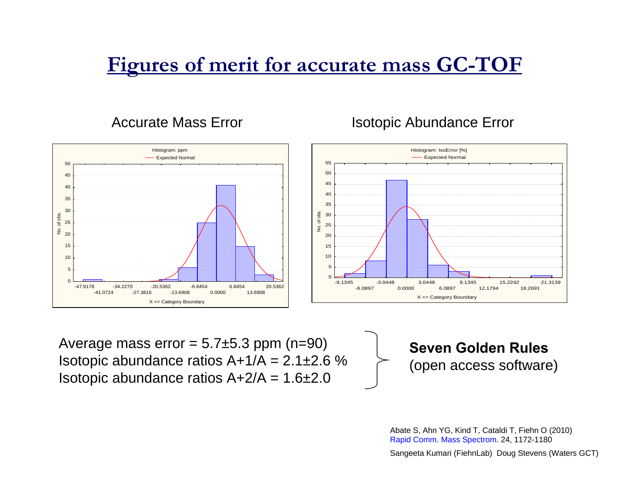# **Figures of merit for accurate mass GC-TOF**

Accurate Mass Error

#### Isotopic Abundance Error



Average mass error  $= 5.7 \pm 5.3$  ppm (n=90) Isotopic abundance ratios  $A+1/A = 2.1 \pm 2.6$  % Isotopic abundance ratios  $A+2/A = 1.6 \pm 2.0$ 

**Seven Golden Rules**(open access software)

Abate S, Ahn YG, Kind T, Cataldi T, Fiehn O (2010) Rapid Comm. Mass Spectrom. 24, 1172-1180

Sangeeta Kumari (FiehnLab) Doug Stevens (Waters GCT)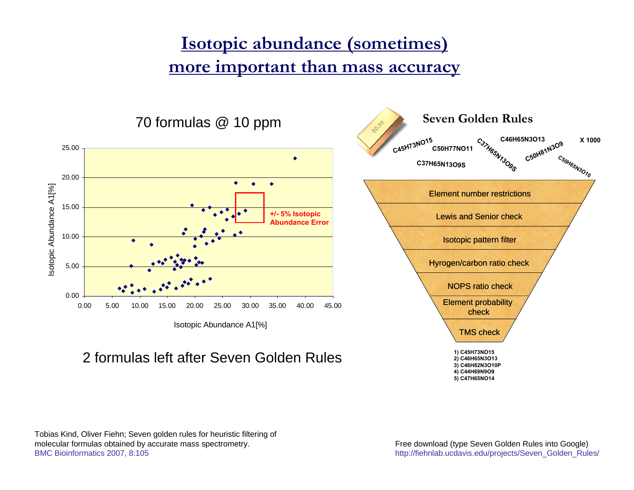### **Isotopic abundance (sometimes) more important than mass accuracy**



2 formulas left after Seven Golden Rules



Tobias Kind, Oliver Fiehn; Seven golden rules for heuristic filtering of molecular formulas obtained by accurate mass spectrometry. BMC Bioinformatics 2007, 8:105